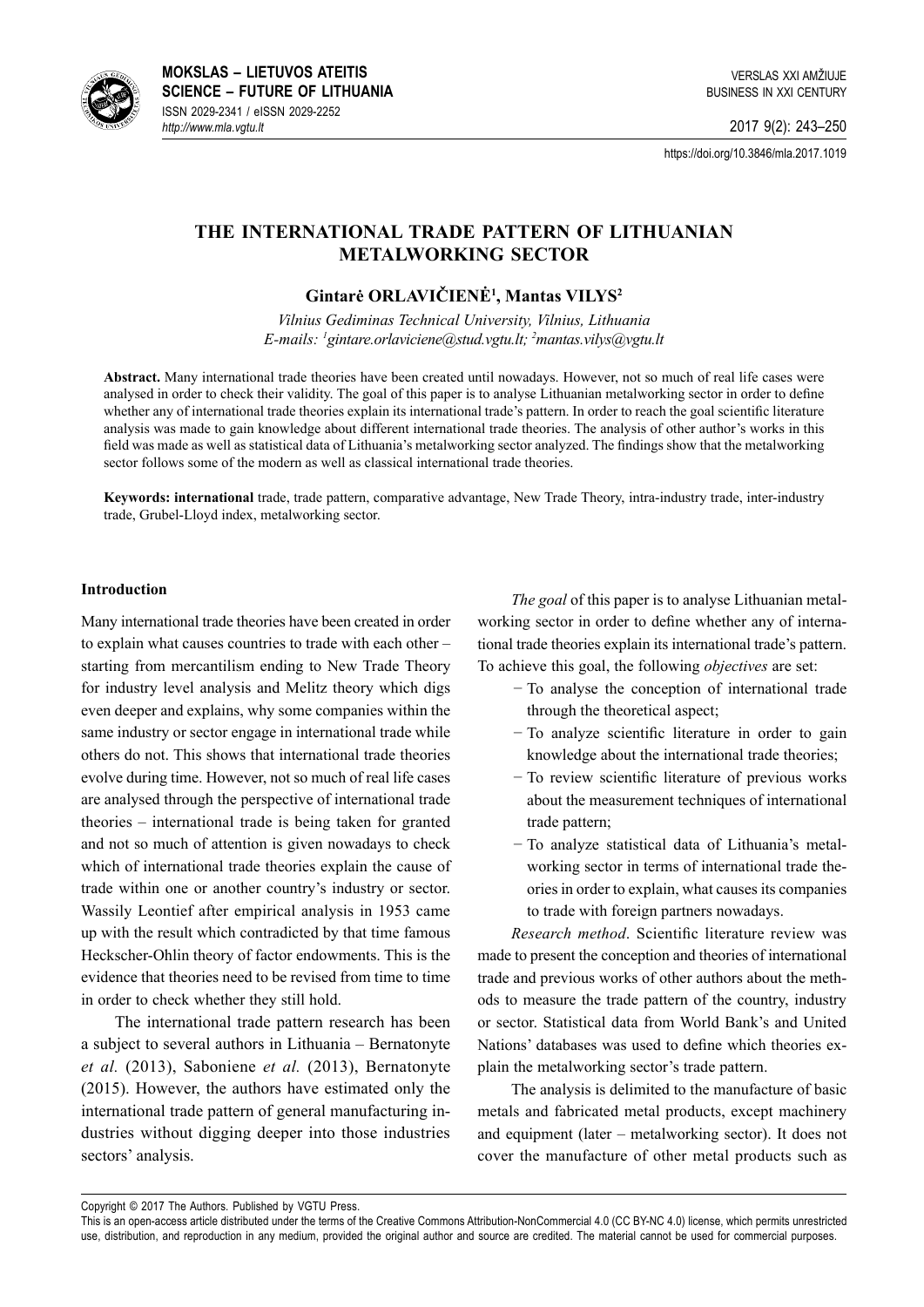

**MOKSLAS – LIETUVOS ATEITIS SCIENCE – FUTURE OF LITHUANIA** ISSN 2029-2341 / eISSN 2029-2252 *http://www.mla.vgtu.lt*

VERSLAS XXI AMŽIUJE BUSINESS IN XXI CENTURY

2017 9(2): 243–250

https://doi.org/10.3846/mla.2017.1019

# **The International Trade Pattern of Lithuanian Metalworking Sector**

## **Gintarė ORLAVIČIENĖ<sup>1</sup> , Mantas VILYS<sup>2</sup>**

*Vilnius Gediminas Technical University, Vilnius, Lithuania E-mails: 1 gintare.orlaviciene@stud.vgtu.lt; 2 mantas.vilys@vgtu.lt*

**Abstract.** Many international trade theories have been created until nowadays. However, not so much of real life cases were analysed in order to check their validity. The goal of this paper is to analyse Lithuanian metalworking sector in order to define whether any of international trade theories explain its international trade's pattern. In order to reach the goal scientific literature analysis was made to gain knowledge about different international trade theories. The analysis of other author's works in this field was made as well as statistical data of Lithuania's metalworking sector analyzed. The findings show that the metalworking sector follows some of the modern as well as classical international trade theories.

**Keywords: international** trade, trade pattern, comparative advantage, New Trade Theory, intra-industry trade, inter-industry trade, Grubel-Lloyd index, metalworking sector.

### **Introduction**

Many international trade theories have been created in order to explain what causes countries to trade with each other – starting from mercantilism ending to New Trade Theory for industry level analysis and Melitz theory which digs even deeper and explains, why some companies within the same industry or sector engage in international trade while others do not. This shows that international trade theories evolve during time. However, not so much of real life cases are analysed through the perspective of international trade theories – international trade is being taken for granted and not so much of attention is given nowadays to check which of international trade theories explain the cause of trade within one or another country's industry or sector. Wassily Leontief after empirical analysis in 1953 came up with the result which contradicted by that time famous Heckscher-Ohlin theory of factor endowments. This is the evidence that theories need to be revised from time to time in order to check whether they still hold.

The international trade pattern research has been a subject to several authors in Lithuania – Bernatonyte *et al.* (2013), Saboniene *et al.* (2013), Bernatonyte (2015). However, the authors have estimated only the international trade pattern of general manufacturing industries without digging deeper into those industries sectors' analysis.

*The goal* of this paper is to analyse Lithuanian metalworking sector in order to define whether any of international trade theories explain its international trade's pattern. To achieve this goal, the following *objectives* are set:

- − To analyse the conception of international trade through the theoretical aspect;
- − To analyze scientific literature in order to gain knowledge about the international trade theories;
- − To review scientific literature of previous works about the measurement techniques of international trade pattern;
- − To analyze statistical data of Lithuania's metalworking sector in terms of international trade theories in order to explain, what causes its companies to trade with foreign partners nowadays.

*Research method*. Scientific literature review was made to present the conception and theories of international trade and previous works of other authors about the methods to measure the trade pattern of the country, industry or sector. Statistical data from World Bank's and United Nations' databases was used to define which theories explain the metalworking sector's trade pattern.

The analysis is delimited to the manufacture of basic metals and fabricated metal products, except machinery and equipment (later – metalworking sector). It does not cover the manufacture of other metal products such as

Copyright © 2017 The Authors. Published by VGTU Press.

This is an open-access article distributed under the terms of the Creative Commons Attribution-NonCommercial 4.0 [\(CC BY-NC 4.0](http://creativecommons.org/licenses/by-nc/4.0/)) license, which permits unrestricted use, distribution, and reproduction in any medium, provided the original author and source are credited. The material cannot be used for commercial purposes.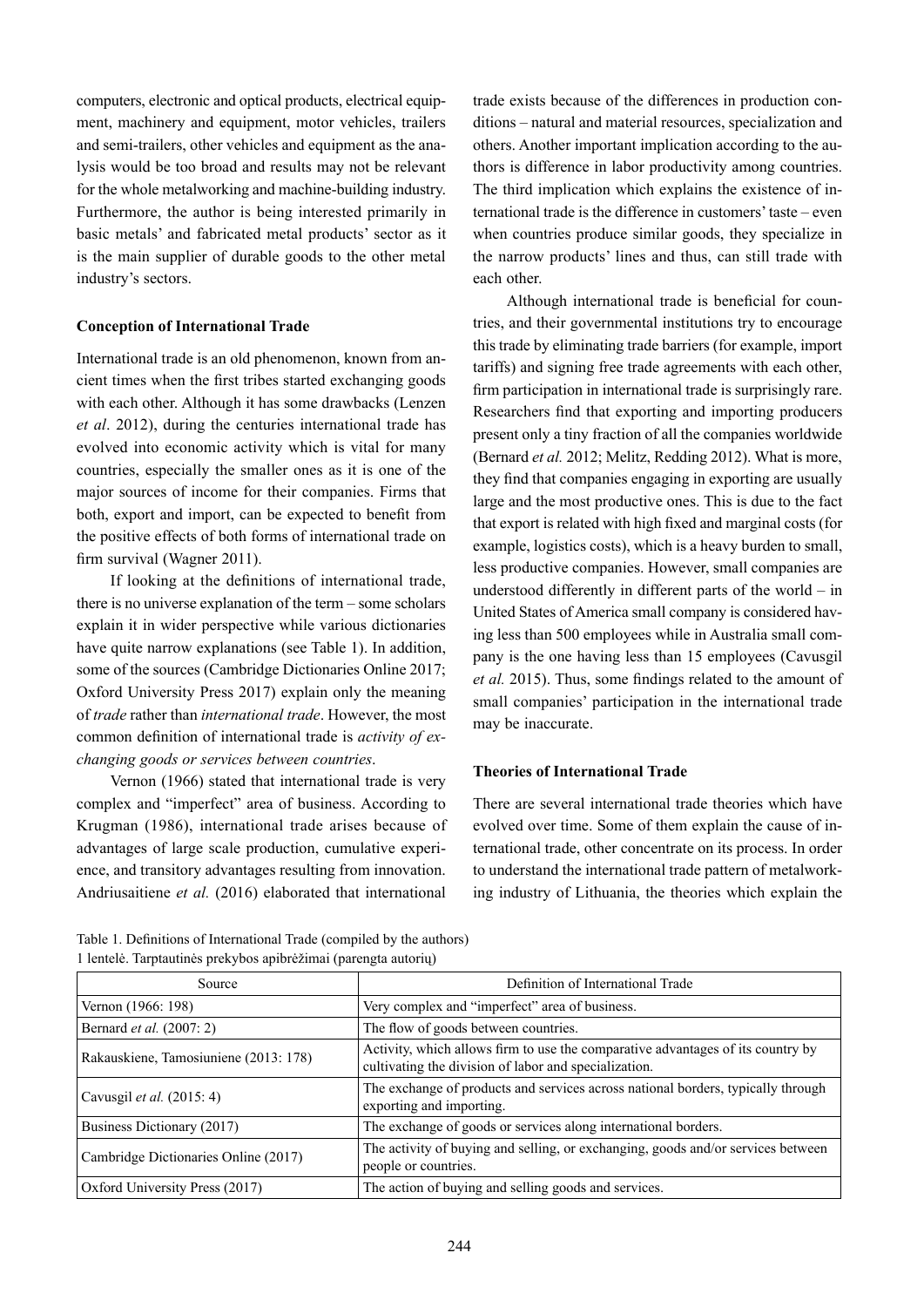computers, electronic and optical products, electrical equipment, machinery and equipment, motor vehicles, trailers and semi-trailers, other vehicles and equipment as the analysis would be too broad and results may not be relevant for the whole metalworking and machine-building industry. Furthermore, the author is being interested primarily in basic metals' and fabricated metal products' sector as it is the main supplier of durable goods to the other metal industry's sectors.

## **Conception of International Trade**

International trade is an old phenomenon, known from ancient times when the first tribes started exchanging goods with each other. Although it has some drawbacks (Lenzen *et al*. 2012), during the centuries international trade has evolved into economic activity which is vital for many countries, especially the smaller ones as it is one of the major sources of income for their companies. Firms that both, export and import, can be expected to benefit from the positive effects of both forms of international trade on firm survival (Wagner 2011).

If looking at the definitions of international trade, there is no universe explanation of the term – some scholars explain it in wider perspective while various dictionaries have quite narrow explanations (see Table 1). In addition, some of the sources (Cambridge Dictionaries Online 2017; Oxford University Press 2017) explain only the meaning of *trade* rather than *international trade*. However, the most common definition of international trade is *activity of exchanging goods or services between countries*.

Vernon (1966) stated that international trade is very complex and "imperfect" area of business. According to Krugman (1986), international trade arises because of advantages of large scale production, cumulative experience, and transitory advantages resulting from innovation. Andriusaitiene *et al.* (2016) elaborated that international

trade exists because of the differences in production conditions – natural and material resources, specialization and others. Another important implication according to the authors is difference in labor productivity among countries. The third implication which explains the existence of international trade is the difference in customers' taste – even when countries produce similar goods, they specialize in the narrow products' lines and thus, can still trade with each other.

Although international trade is beneficial for countries, and their governmental institutions try to encourage this trade by eliminating trade barriers (for example, import tariffs) and signing free trade agreements with each other, firm participation in international trade is surprisingly rare. Researchers find that exporting and importing producers present only a tiny fraction of all the companies worldwide (Bernard *et al.* 2012; Melitz, Redding 2012). What is more, they find that companies engaging in exporting are usually large and the most productive ones. This is due to the fact that export is related with high fixed and marginal costs (for example, logistics costs), which is a heavy burden to small, less productive companies. However, small companies are understood differently in different parts of the world – in United States of America small company is considered having less than 500 employees while in Australia small company is the one having less than 15 employees (Cavusgil *et al.* 2015). Thus, some findings related to the amount of small companies' participation in the international trade may be inaccurate.

## **Theories of International Trade**

There are several international trade theories which have evolved over time. Some of them explain the cause of international trade, other concentrate on its process. In order to understand the international trade pattern of metalworking industry of Lithuania, the theories which explain the

| Source                                | Definition of International Trade                                                                                                        |  |
|---------------------------------------|------------------------------------------------------------------------------------------------------------------------------------------|--|
| Vernon (1966: 198)                    | Very complex and "imperfect" area of business.                                                                                           |  |
| Bernard <i>et al.</i> (2007: 2)       | The flow of goods between countries.                                                                                                     |  |
| Rakauskiene, Tamosiuniene (2013: 178) | Activity, which allows firm to use the comparative advantages of its country by<br>cultivating the division of labor and specialization. |  |
| Cavusgil <i>et al.</i> $(2015:4)$     | The exchange of products and services across national borders, typically through<br>exporting and importing.                             |  |
| <b>Business Dictionary (2017)</b>     | The exchange of goods or services along international borders.                                                                           |  |
| Cambridge Dictionaries Online (2017)  | The activity of buying and selling, or exchanging, goods and/or services between<br>people or countries.                                 |  |
| Oxford University Press (2017)        | The action of buying and selling goods and services.                                                                                     |  |

Table 1. Definitions of International Trade (compiled by the authors) 1 lentelė. Tarptautinės prekybos apibrėžimai (parengta autorių)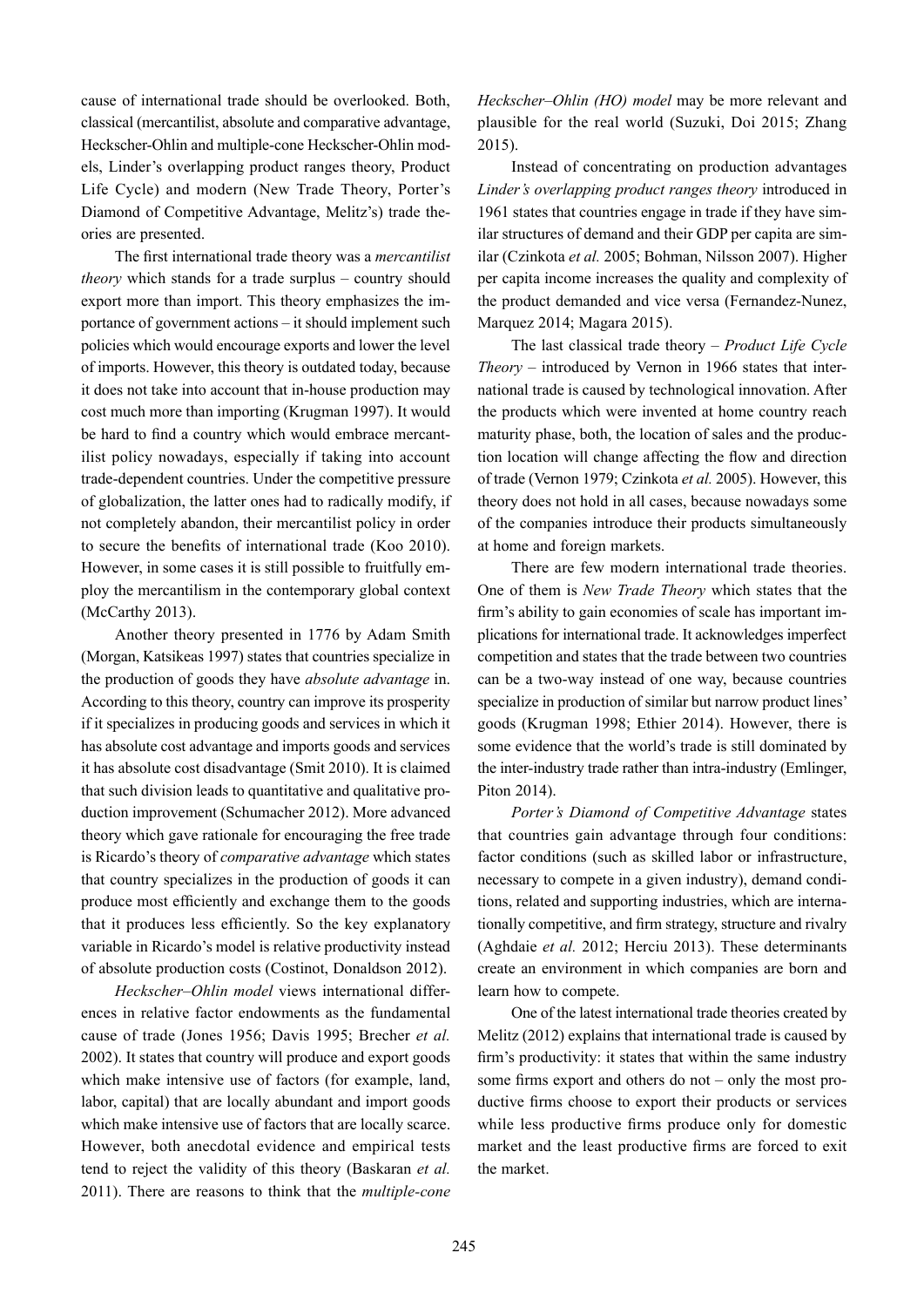cause of international trade should be overlooked. Both, classical (mercantilist, absolute and comparative advantage, Heckscher-Ohlin and multiple-cone Heckscher-Ohlin models, Linder's overlapping product ranges theory, Product Life Cycle) and modern (New Trade Theory, Porter's Diamond of Competitive Advantage, Melitz's) trade theories are presented.

The first international trade theory was a *mercantilist theory* which stands for a trade surplus – country should export more than import. This theory emphasizes the importance of government actions – it should implement such policies which would encourage exports and lower the level of imports. However, this theory is outdated today, because it does not take into account that in-house production may cost much more than importing (Krugman 1997). It would be hard to find a country which would embrace mercantilist policy nowadays, especially if taking into account trade-dependent countries. Under the competitive pressure of globalization, the latter ones had to radically modify, if not completely abandon, their mercantilist policy in order to secure the benefits of international trade (Koo 2010). However, in some cases it is still possible to fruitfully employ the mercantilism in the contemporary global context (McCarthy 2013).

Another theory presented in 1776 by Adam Smith (Morgan, Katsikeas 1997) states that countries specialize in the production of goods they have *absolute advantage* in. According to this theory, country can improve its prosperity if it specializes in producing goods and services in which it has absolute cost advantage and imports goods and services it has absolute cost disadvantage (Smit 2010). It is claimed that such division leads to quantitative and qualitative production improvement (Schumacher 2012). More advanced theory which gave rationale for encouraging the free trade is Ricardo's theory of *comparative advantage* which states that country specializes in the production of goods it can produce most efficiently and exchange them to the goods that it produces less efficiently. So the key explanatory variable in Ricardo's model is relative productivity instead of absolute production costs (Costinot, Donaldson 2012).

*Heckscher–Ohlin model* views international differences in relative factor endowments as the fundamental cause of trade (Jones 1956; Davis 1995; Brecher *et al.*  2002). It states that country will produce and export goods which make intensive use of factors (for example, land, labor, capital) that are locally abundant and import goods which make intensive use of factors that are locally scarce. However, both anecdotal evidence and empirical tests tend to reject the validity of this theory (Baskaran *et al.*  2011). There are reasons to think that the *multiple-cone*  *Heckscher–Ohlin (HO) model* may be more relevant and plausible for the real world (Suzuki, Doi 2015; Zhang 2015).

Instead of concentrating on production advantages *Linder's overlapping product ranges theory* introduced in 1961 states that countries engage in trade if they have similar structures of demand and their GDP per capita are similar (Czinkota *et al.* 2005; Bohman, Nilsson 2007). Higher per capita income increases the quality and complexity of the product demanded and vice versa (Fernandez-Nunez, Marquez 2014; Magara 2015).

The last classical trade theory – *Product Life Cycle Theory* – introduced by Vernon in 1966 states that international trade is caused by technological innovation. After the products which were invented at home country reach maturity phase, both, the location of sales and the production location will change affecting the flow and direction of trade (Vernon 1979; Czinkota *et al.* 2005). However, this theory does not hold in all cases, because nowadays some of the companies introduce their products simultaneously at home and foreign markets.

There are few modern international trade theories. One of them is *New Trade Theory* which states that the firm's ability to gain economies of scale has important implications for international trade. It acknowledges imperfect competition and states that the trade between two countries can be a two-way instead of one way, because countries specialize in production of similar but narrow product lines' goods (Krugman 1998; Ethier 2014). However, there is some evidence that the world's trade is still dominated by the inter-industry trade rather than intra-industry (Emlinger, Piton 2014).

*Porter's Diamond of Competitive Advantage* states that countries gain advantage through four conditions: factor conditions (such as skilled labor or infrastructure, necessary to compete in a given industry), demand conditions, related and supporting industries, which are internationally competitive, and firm strategy, structure and rivalry (Aghdaie *et al.* 2012; Herciu 2013). These determinants create an environment in which companies are born and learn how to compete.

One of the latest international trade theories created by Melitz (2012) explains that international trade is caused by firm's productivity: it states that within the same industry some firms export and others do not – only the most productive firms choose to export their products or services while less productive firms produce only for domestic market and the least productive firms are forced to exit the market.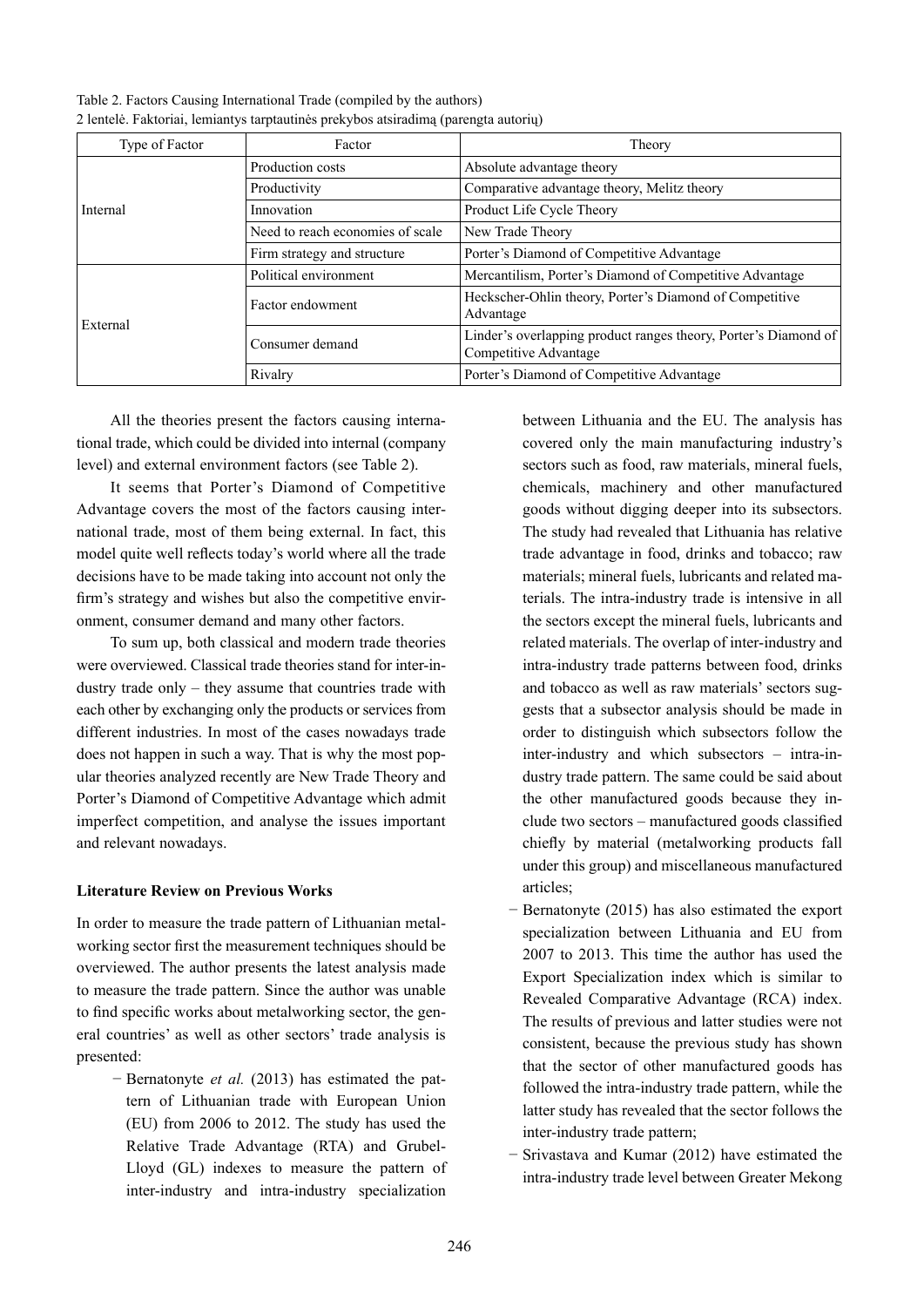| Type of Factor | Factor                           | Theory                                                                                   |  |
|----------------|----------------------------------|------------------------------------------------------------------------------------------|--|
| Internal       | Production costs                 | Absolute advantage theory                                                                |  |
|                | Productivity                     | Comparative advantage theory, Melitz theory                                              |  |
|                | Innovation                       | Product Life Cycle Theory                                                                |  |
|                | Need to reach economies of scale | New Trade Theory                                                                         |  |
|                | Firm strategy and structure      | Porter's Diamond of Competitive Advantage                                                |  |
| External       | Political environment            | Mercantilism, Porter's Diamond of Competitive Advantage                                  |  |
|                | Factor endowment                 | Heckscher-Ohlin theory, Porter's Diamond of Competitive<br>Advantage                     |  |
|                | Consumer demand                  | Linder's overlapping product ranges theory, Porter's Diamond of<br>Competitive Advantage |  |
|                | Rivalry                          | Porter's Diamond of Competitive Advantage                                                |  |

Table 2. Factors Causing International Trade (compiled by the authors) 2 lentelė. Faktoriai, lemiantys tarptautinės prekybos atsiradimą (parengta autorių)

All the theories present the factors causing international trade, which could be divided into internal (company level) and external environment factors (see Table 2).

It seems that Porter's Diamond of Competitive Advantage covers the most of the factors causing international trade, most of them being external. In fact, this model quite well reflects today's world where all the trade decisions have to be made taking into account not only the firm's strategy and wishes but also the competitive environment, consumer demand and many other factors.

To sum up, both classical and modern trade theories were overviewed. Classical trade theories stand for inter-industry trade only – they assume that countries trade with each other by exchanging only the products or services from different industries. In most of the cases nowadays trade does not happen in such a way. That is why the most popular theories analyzed recently are New Trade Theory and Porter's Diamond of Competitive Advantage which admit imperfect competition, and analyse the issues important and relevant nowadays.

## **Literature Review on Previous Works**

In order to measure the trade pattern of Lithuanian metalworking sector first the measurement techniques should be overviewed. The author presents the latest analysis made to measure the trade pattern. Since the author was unable to find specific works about metalworking sector, the general countries' as well as other sectors' trade analysis is presented:

− Bernatonyte *et al.* (2013) has estimated the pattern of Lithuanian trade with European Union (EU) from 2006 to 2012. The study has used the Relative Trade Advantage (RTA) and Grubel-Lloyd (GL) indexes to measure the pattern of inter-industry and intra-industry specialization

between Lithuania and the EU. The analysis has covered only the main manufacturing industry's sectors such as food, raw materials, mineral fuels, chemicals, machinery and other manufactured goods without digging deeper into its subsectors. The study had revealed that Lithuania has relative trade advantage in food, drinks and tobacco; raw materials; mineral fuels, lubricants and related materials. The intra-industry trade is intensive in all the sectors except the mineral fuels, lubricants and related materials. The overlap of inter-industry and intra-industry trade patterns between food, drinks and tobacco as well as raw materials' sectors suggests that a subsector analysis should be made in order to distinguish which subsectors follow the inter-industry and which subsectors – intra-industry trade pattern. The same could be said about the other manufactured goods because they include two sectors – manufactured goods classified chiefly by material (metalworking products fall under this group) and miscellaneous manufactured articles;

- − Bernatonyte (2015) has also estimated the export specialization between Lithuania and EU from 2007 to 2013. This time the author has used the Export Specialization index which is similar to Revealed Comparative Advantage (RCA) index. The results of previous and latter studies were not consistent, because the previous study has shown that the sector of other manufactured goods has followed the intra-industry trade pattern, while the latter study has revealed that the sector follows the inter-industry trade pattern;
- − Srivastava and Kumar (2012) have estimated the intra-industry trade level between Greater Mekong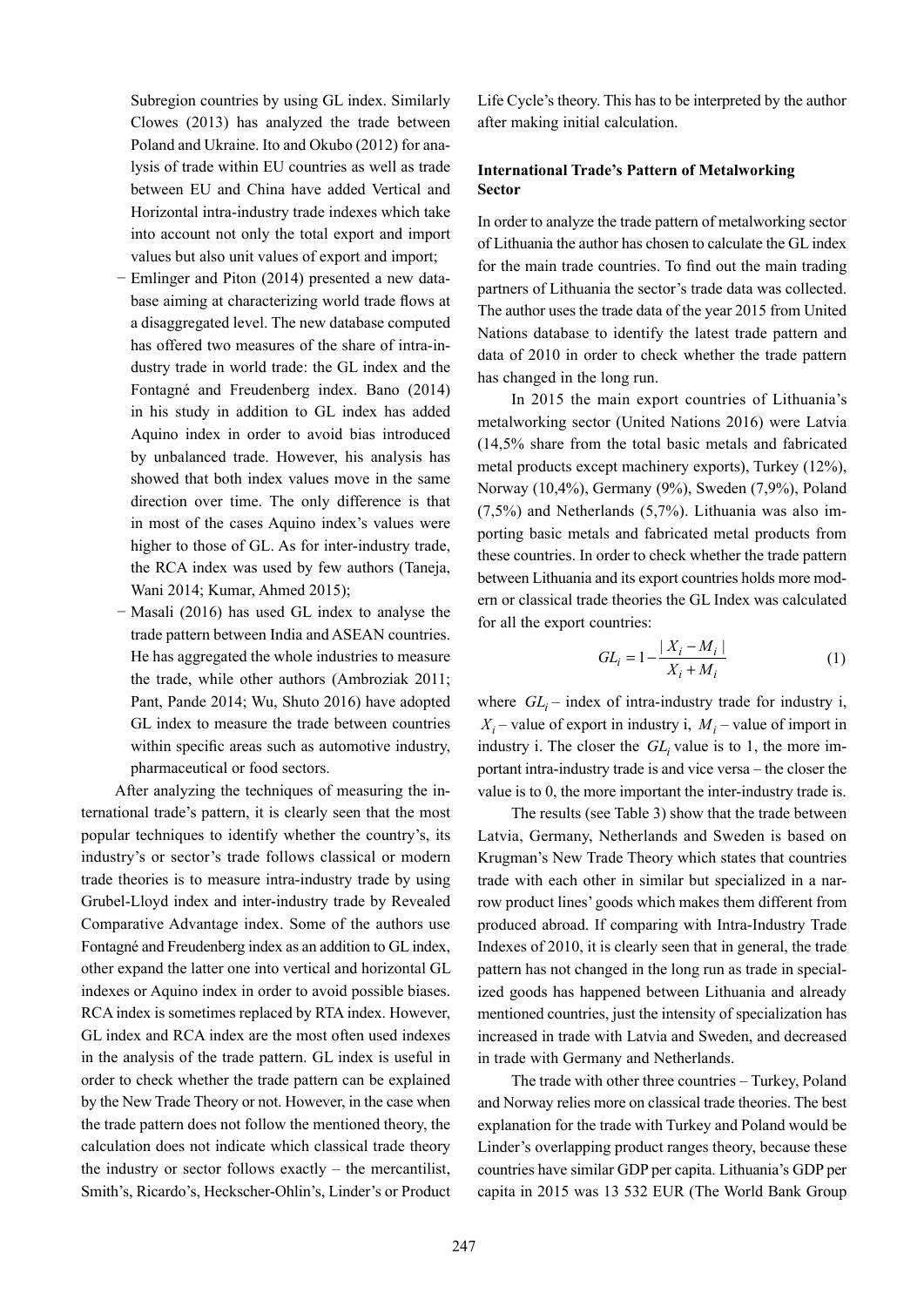Subregion countries by using GL index. Similarly Clowes (2013) has analyzed the trade between Poland and Ukraine. Ito and Okubo (2012) for analysis of trade within EU countries as well as trade between EU and China have added Vertical and Horizontal intra-industry trade indexes which take into account not only the total export and import values but also unit values of export and import;

- Emlinger and Piton (2014) presented a new database aiming at characterizing world trade flows at a disaggregated level. The new database computed has offered two measures of the share of intra-industry trade in world trade: the GL index and the Fontagné and Freudenberg index. Bano (2014) in his study in addition to GL index has added Aquino index in order to avoid bias introduced by unbalanced trade. However, his analysis has showed that both index values move in the same direction over time. The only difference is that in most of the cases Aquino index's values were higher to those of GL. As for inter-industry trade, the RCA index was used by few authors (Taneja, Wani 2014; Kumar, Ahmed 2015);
- − Masali (2016) has used GL index to analyse the trade pattern between India and ASEAN countries. He has aggregated the whole industries to measure the trade, while other authors (Ambroziak 2011; Pant, Pande 2014; Wu, Shuto 2016) have adopted GL index to measure the trade between countries within specific areas such as automotive industry, pharmaceutical or food sectors.

After analyzing the techniques of measuring the international trade's pattern, it is clearly seen that the most popular techniques to identify whether the country's, its industry's or sector's trade follows classical or modern trade theories is to measure intra-industry trade by using Grubel-Lloyd index and inter-industry trade by Revealed Comparative Advantage index. Some of the authors use Fontagné and Freudenberg index as an addition to GL index, other expand the latter one into vertical and horizontal GL indexes or Aquino index in order to avoid possible biases. RCA index is sometimes replaced by RTA index. However, GL index and RCA index are the most often used indexes in the analysis of the trade pattern. GL index is useful in order to check whether the trade pattern can be explained by the New Trade Theory or not. However, in the case when the trade pattern does not follow the mentioned theory, the calculation does not indicate which classical trade theory the industry or sector follows exactly – the mercantilist, Smith's, Ricardo's, Heckscher-Ohlin's, Linder's or Product Life Cycle's theory. This has to be interpreted by the author after making initial calculation.

## **International Trade's Pattern of Metalworking Sector**

In order to analyze the trade pattern of metalworking sector of Lithuania the author has chosen to calculate the GL index for the main trade countries. To find out the main trading partners of Lithuania the sector's trade data was collected. The author uses the trade data of the year 2015 from United Nations database to identify the latest trade pattern and data of 2010 in order to check whether the trade pattern has changed in the long run.

In 2015 the main export countries of Lithuania's metalworking sector (United Nations 2016) were Latvia (14,5% share from the total basic metals and fabricated metal products except machinery exports), Turkey (12%), Norway (10,4%), Germany (9%), Sweden (7,9%), Poland (7,5%) and Netherlands (5,7%). Lithuania was also importing basic metals and fabricated metal products from these countries. In order to check whether the trade pattern between Lithuania and its export countries holds more modern or classical trade theories the GL Index was calculated for all the export countries:

$$
GL_i = 1 - \frac{|X_i - M_i|}{X_i + M_i}
$$
 (1)

where  $GL_i$  – index of intra-industry trade for industry i,  $X_i$  – value of export in industry i,  $M_i$  – value of import in industry i. The closer the  $GL_i$  value is to 1, the more important intra-industry trade is and vice versa – the closer the value is to 0, the more important the inter-industry trade is.

The results (see Table 3) show that the trade between Latvia, Germany, Netherlands and Sweden is based on Krugman's New Trade Theory which states that countries trade with each other in similar but specialized in a narrow product lines' goods which makes them different from produced abroad. If comparing with Intra-Industry Trade Indexes of 2010, it is clearly seen that in general, the trade pattern has not changed in the long run as trade in specialized goods has happened between Lithuania and already mentioned countries, just the intensity of specialization has increased in trade with Latvia and Sweden, and decreased in trade with Germany and Netherlands.

The trade with other three countries – Turkey, Poland and Norway relies more on classical trade theories. The best explanation for the trade with Turkey and Poland would be Linder's overlapping product ranges theory, because these countries have similar GDP per capita. Lithuania's GDP per capita in 2015 was 13 532 EUR (The World Bank Group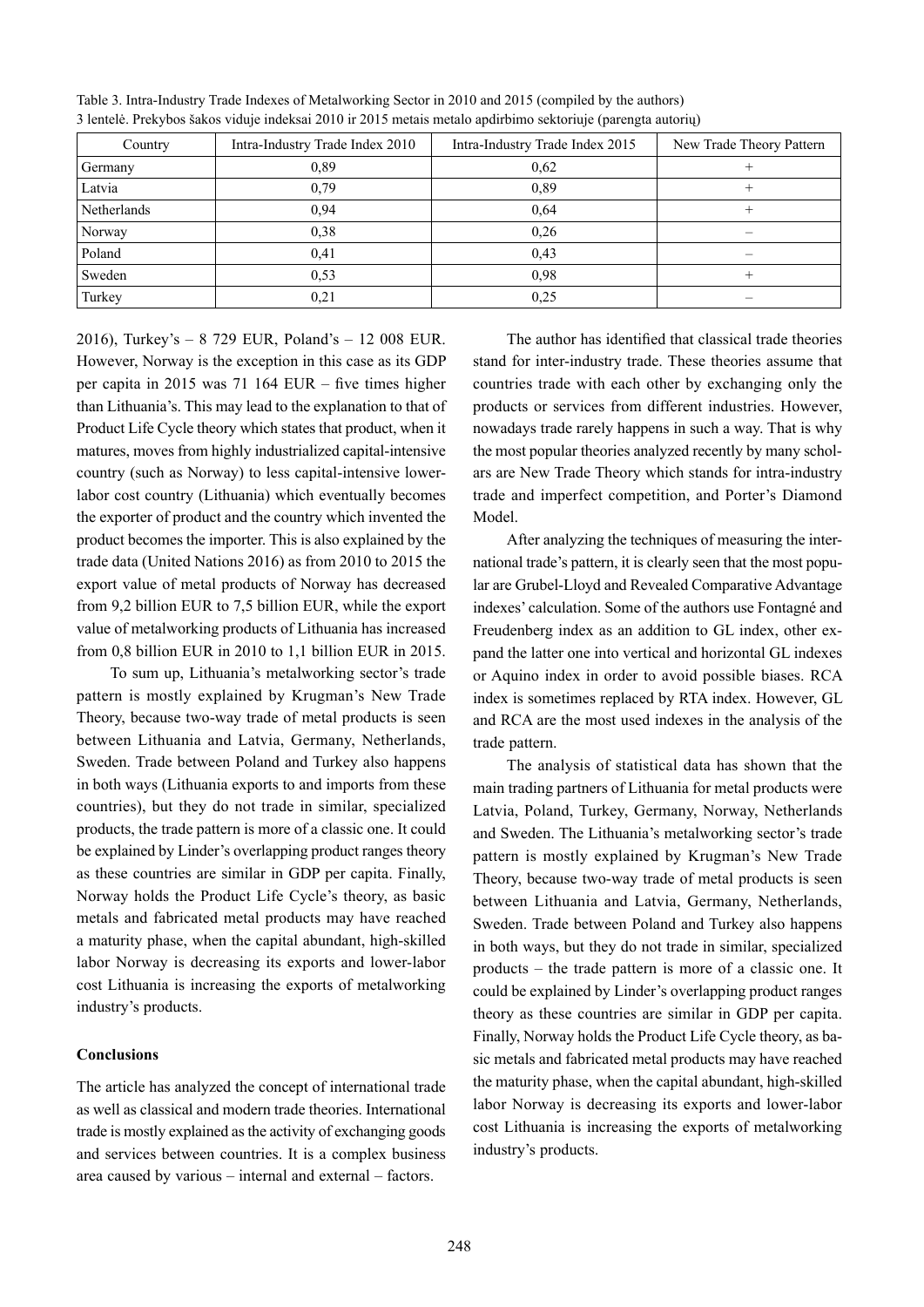| Country     | Intra-Industry Trade Index 2010 | Intra-Industry Trade Index 2015 | New Trade Theory Pattern |
|-------------|---------------------------------|---------------------------------|--------------------------|
| Germany     | 0.89                            | 0.62                            |                          |
| Latvia      | 0,79                            | 0,89                            |                          |
| Netherlands | 0,94                            | 0.64                            |                          |
| Norway      | 0.38                            | 0.26                            |                          |
| Poland      | 0,41                            | 0.43                            |                          |
| Sweden      | 0.53                            | 0.98                            |                          |
| Turkey      | 0,21                            | 0.25                            |                          |

Table 3. Intra-Industry Trade Indexes of Metalworking Sector in 2010 and 2015 (compiled by the authors) 3 lentelė. Prekybos šakos viduje indeksai 2010 ir 2015 metais metalo apdirbimo sektoriuje (parengta autorių)

2016), Turkey's – 8 729 EUR, Poland's – 12 008 EUR. However, Norway is the exception in this case as its GDP per capita in 2015 was 71 164 EUR – five times higher than Lithuania's. This may lead to the explanation to that of Product Life Cycle theory which states that product, when it matures, moves from highly industrialized capital-intensive country (such as Norway) to less capital-intensive lowerlabor cost country (Lithuania) which eventually becomes the exporter of product and the country which invented the product becomes the importer. This is also explained by the trade data (United Nations 2016) as from 2010 to 2015 the export value of metal products of Norway has decreased from 9,2 billion EUR to 7,5 billion EUR, while the export value of metalworking products of Lithuania has increased from 0,8 billion EUR in 2010 to 1,1 billion EUR in 2015.

To sum up, Lithuania's metalworking sector's trade pattern is mostly explained by Krugman's New Trade Theory, because two-way trade of metal products is seen between Lithuania and Latvia, Germany, Netherlands, Sweden. Trade between Poland and Turkey also happens in both ways (Lithuania exports to and imports from these countries), but they do not trade in similar, specialized products, the trade pattern is more of a classic one. It could be explained by Linder's overlapping product ranges theory as these countries are similar in GDP per capita. Finally, Norway holds the Product Life Cycle's theory, as basic metals and fabricated metal products may have reached a maturity phase, when the capital abundant, high-skilled labor Norway is decreasing its exports and lower-labor cost Lithuania is increasing the exports of metalworking industry's products.

## **Conclusions**

The article has analyzed the concept of international trade as well as classical and modern trade theories. International trade is mostly explained as the activity of exchanging goods and services between countries. It is a complex business area caused by various – internal and external – factors.

The author has identified that classical trade theories stand for inter-industry trade. These theories assume that countries trade with each other by exchanging only the products or services from different industries. However, nowadays trade rarely happens in such a way. That is why the most popular theories analyzed recently by many scholars are New Trade Theory which stands for intra-industry trade and imperfect competition, and Porter's Diamond Model.

After analyzing the techniques of measuring the international trade's pattern, it is clearly seen that the most popular are Grubel-Lloyd and Revealed Comparative Advantage indexes' calculation. Some of the authors use Fontagné and Freudenberg index as an addition to GL index, other expand the latter one into vertical and horizontal GL indexes or Aquino index in order to avoid possible biases. RCA index is sometimes replaced by RTA index. However, GL and RCA are the most used indexes in the analysis of the trade pattern.

The analysis of statistical data has shown that the main trading partners of Lithuania for metal products were Latvia, Poland, Turkey, Germany, Norway, Netherlands and Sweden. The Lithuania's metalworking sector's trade pattern is mostly explained by Krugman's New Trade Theory, because two-way trade of metal products is seen between Lithuania and Latvia, Germany, Netherlands, Sweden. Trade between Poland and Turkey also happens in both ways, but they do not trade in similar, specialized products – the trade pattern is more of a classic one. It could be explained by Linder's overlapping product ranges theory as these countries are similar in GDP per capita. Finally, Norway holds the Product Life Cycle theory, as basic metals and fabricated metal products may have reached the maturity phase, when the capital abundant, high-skilled labor Norway is decreasing its exports and lower-labor cost Lithuania is increasing the exports of metalworking industry's products.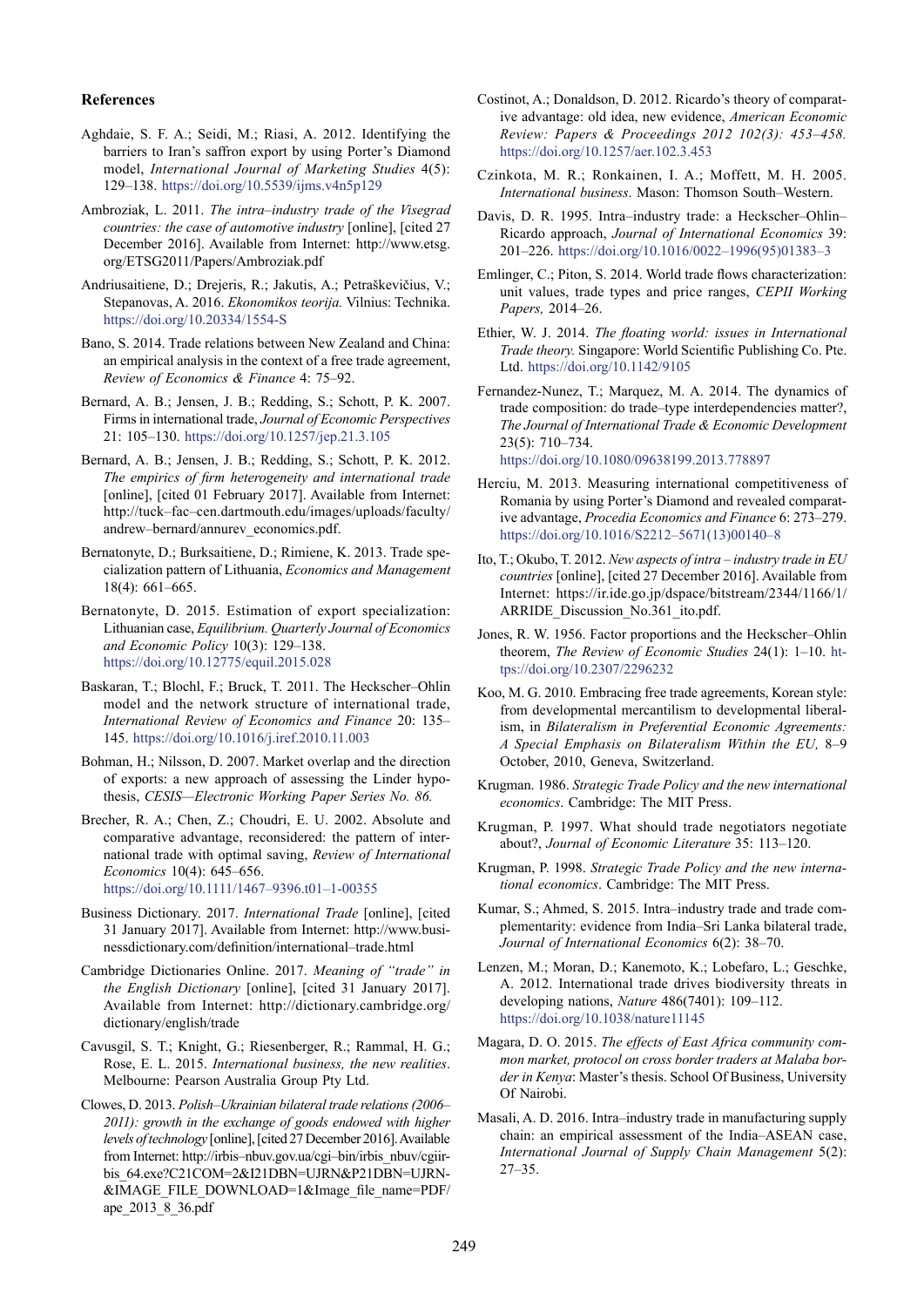#### **References**

- Aghdaie, S. F. A.; Seidi, M.; Riasi, A. 2012. Identifying the barriers to Iran's saffron export by using Porter's Diamond model, *International Journal of Marketing Studies* 4(5): 129–138. <https://doi.org/10.5539/ijms.v4n5p129>
- Ambroziak, L. 2011. *The intra–industry trade of the Visegrad countries: the case of automotive industry* [online], [cited 27 December 2016]. Available from Internet: [http://www.etsg.](http://www.etsg.org/ETSG2011/Papers/Ambroziak.pdf) [org/ETSG2011/Papers/Ambroziak.pdf](http://www.etsg.org/ETSG2011/Papers/Ambroziak.pdf)
- Andriusaitiene, D.; Drejeris, R.; Jakutis, A.; Petraškevičius, V.; Stepanovas, A. 2016. *Ekonomikos teorija.* Vilnius: Technika. <https://doi.org/10.20334/1554-S>
- Bano, S. 2014. Trade relations between New Zealand and China: an empirical analysis in the context of a free trade agreement, *Review of Economics & Finance* 4: 75–92.
- Bernard, A. B.; Jensen, J. B.; Redding, S.; Schott, P. K. 2007. Firms in international trade, *Journal of Economic Perspectives*  21: 105–130. <https://doi.org/10.1257/jep.21.3.105>
- Bernard, A. B.; Jensen, J. B.; Redding, S.; Schott, P. K. 2012. *The empirics of firm heterogeneity and international trade* [online], [cited 01 February 2017]. Available from Internet: [http://tuck–fac–cen.dartmouth.edu/images/uploads/faculty/](http://tuck-fac-cen.dartmouth.edu/images/uploads/faculty/andrew-bernard/annurev_economics.pdf) [andrew–bernard/annurev\\_economics.pdf](http://tuck-fac-cen.dartmouth.edu/images/uploads/faculty/andrew-bernard/annurev_economics.pdf).
- Bernatonyte, D.; Burksaitiene, D.; Rimiene, K. 2013. Trade specialization pattern of Lithuania, *Economics and Management*  18(4): 661–665.
- Bernatonyte, D. 2015. Estimation of export specialization: Lithuanian case, *Equilibrium. Quarterly Journal of Economics and Economic Policy* 10(3): 129–138. <https://doi.org/10.12775/equil.2015.028>
- Baskaran, T.; Blochl, F.; Bruck, T. 2011. The Heckscher–Ohlin model and the network structure of international trade, *International Review of Economics and Finance* 20: 135– 145. <https://doi.org/10.1016/j.iref.2010.11.003>
- Bohman, H.; Nilsson, D. 2007. Market overlap and the direction of exports: a new approach of assessing the Linder hypothesis, *CESIS—Electronic Working Paper Series No. 86.*
- Brecher, R. A.; Chen, Z.; Choudri, E. U. 2002. Absolute and comparative advantage, reconsidered: the pattern of international trade with optimal saving, *Review of International Economics* 10(4): 645–656. [https://doi.org/10.1111/1467–9396.t01–1-00355](https://doi.org/10.1111/1467-9396.t01-1-00355)
- Business Dictionary. 2017. *International Trade* [online], [cited 31 January 2017]. Available from Internet: [http://www.busi](http://www.businessdictionary.com/definition/international-trade.html)[nessdictionary.com/definition/international–trade.html](http://www.businessdictionary.com/definition/international-trade.html)
- Cambridge Dictionaries Online. 2017. *Meaning of "trade" in the English Dictionary* [online], [cited 31 January 2017]. Available from Internet: [http://dictionary.cambridge.org/](http://dictionary.cambridge.org/dictionary/english/trade) [dictionary/english/trade](http://dictionary.cambridge.org/dictionary/english/trade)
- Cavusgil, S. T.; Knight, G.; Riesenberger, R.; Rammal, H. G.; Rose, E. L. 2015. *International business, the new realities*. Melbourne: Pearson Australia Group Pty Ltd.
- Clowes, D. 2013. *Polish–Ukrainian bilateral trade relations (2006– 2011): growth in the exchange of goods endowed with higher levels of technology* [online], [cited 27 December 2016]. Available from Internet: [http://irbis–nbuv.gov.ua/cgi–bin/irbis\\_nbuv/cgiir](http://irbis-nbuv.gov.ua/cgi-bin/irbis_nbuv/cgiirbis_64.exe?C21COM=2&I21DBN=UJRN&P21DBN=UJRN&IMAGE_FILE_DOWNLOAD=1&Image_file_name=PDF/ape_2013_8_36.pdf)[bis\\_64.exe?C21COM=2&I21DBN=UJRN&P21DBN=UJRN-](http://irbis-nbuv.gov.ua/cgi-bin/irbis_nbuv/cgiirbis_64.exe?C21COM=2&I21DBN=UJRN&P21DBN=UJRN&IMAGE_FILE_DOWNLOAD=1&Image_file_name=PDF/ape_2013_8_36.pdf) [&IMAGE\\_FILE\\_DOWNLOAD=1&Image\\_file\\_name=PDF/](http://irbis-nbuv.gov.ua/cgi-bin/irbis_nbuv/cgiirbis_64.exe?C21COM=2&I21DBN=UJRN&P21DBN=UJRN&IMAGE_FILE_DOWNLOAD=1&Image_file_name=PDF/ape_2013_8_36.pdf) [ape\\_2013\\_8\\_36.pdf](http://irbis-nbuv.gov.ua/cgi-bin/irbis_nbuv/cgiirbis_64.exe?C21COM=2&I21DBN=UJRN&P21DBN=UJRN&IMAGE_FILE_DOWNLOAD=1&Image_file_name=PDF/ape_2013_8_36.pdf)
- Costinot, A.; Donaldson, D. 2012. Ricardo's theory of comparative advantage: old idea, new evidence, *American Economic Review: Papers & Proceedings 2012 102(3): 453–458.*  <https://doi.org/10.1257/aer.102.3.453>
- Czinkota, M. R.; Ronkainen, I. A.; Moffett, M. H. 2005. *International business*. Mason: Thomson South–Western.
- Davis, D. R. 1995. Intra–industry trade: a Heckscher–Ohlin– Ricardo approach, *Journal of International Economics* 39: 201–226. [https://doi.org/10.1016/0022–1996\(95\)01383–3](https://doi.org/10.1016/0022-1996(95)01383-3)
- Emlinger, C.; Piton, S. 2014. World trade flows characterization: unit values, trade types and price ranges, *CEPII Working Papers,* 2014–26.
- Ethier, W. J. 2014. *The floating world: issues in International Trade theory.* Singapore: World Scientific Publishing Co. Pte. Ltd. <https://doi.org/10.1142/9105>
- Fernandez-Nunez, T.; Marquez, M. A. 2014. The dynamics of trade composition: do trade–type interdependencies matter?, *The Journal of International Trade & Economic Development*  23(5): 710–734. <https://doi.org/10.1080/09638199.2013.778897>
- Herciu, M. 2013. Measuring international competitiveness of Romania by using Porter's Diamond and revealed comparative advantage, *Procedia Economics and Finance* 6: 273–279. [https://doi.org/10.1016/S2212–5671\(13\)00140–8](https://doi.org/10.1016/S2212-5671(13)00140-8)
- Ito, T.; Okubo, T. 2012. *New aspects of intra* – *industry trade in EU countries* [online], [cited 27 December 2016]. Available from Internet: [https://ir.ide.go.jp/dspace/bitstream/2344/1166/1/](https://ir.ide.go.jp/dspace/bitstream/2344/1166/1/ARRIDE_Discussion_No.361_ito.pdf) [ARRIDE\\_Discussion\\_No.361\\_ito.pdf.](https://ir.ide.go.jp/dspace/bitstream/2344/1166/1/ARRIDE_Discussion_No.361_ito.pdf)
- Jones, R. W. 1956. Factor proportions and the Heckscher–Ohlin theorem, *The Review of Economic Studies* 24(1): 1–10. [ht](https://doi.org/10.2307/2296232)[tps://doi.org/10.2307/2296232](https://doi.org/10.2307/2296232)
- Koo, M. G. 2010. Embracing free trade agreements, Korean style: from developmental mercantilism to developmental liberalism, in *Bilateralism in Preferential Economic Agreements: A Special Emphasis on Bilateralism Within the EU,* 8–9 October, 2010, Geneva, Switzerland.
- Krugman. 1986. *Strategic Trade Policy and the new international economics*. Cambridge: The MIT Press.
- Krugman, P. 1997. What should trade negotiators negotiate about?, *Journal of Economic Literature* 35: 113–120.
- Krugman, P. 1998. *Strategic Trade Policy and the new international economics*. Cambridge: The MIT Press.
- Kumar, S.; Ahmed, S. 2015. Intra–industry trade and trade complementarity: evidence from India–Sri Lanka bilateral trade, *Journal of International Economics* 6(2): 38–70.
- Lenzen, M.; Moran, D.; Kanemoto, K.; Lobefaro, L.; Geschke, A. 2012. International trade drives biodiversity threats in developing nations, *Nature* 486(7401): 109–112. <https://doi.org/10.1038/nature11145>
- Magara, D. O. 2015. *The effects of East Africa community common market, protocol on cross border traders at Malaba border in Kenya*: Master's thesis. School Of Business, University Of Nairobi.
- Masali, A. D. 2016. Intra–industry trade in manufacturing supply chain: an empirical assessment of the India–ASEAN case, *International Journal of Supply Chain Management* 5(2): 27–35.